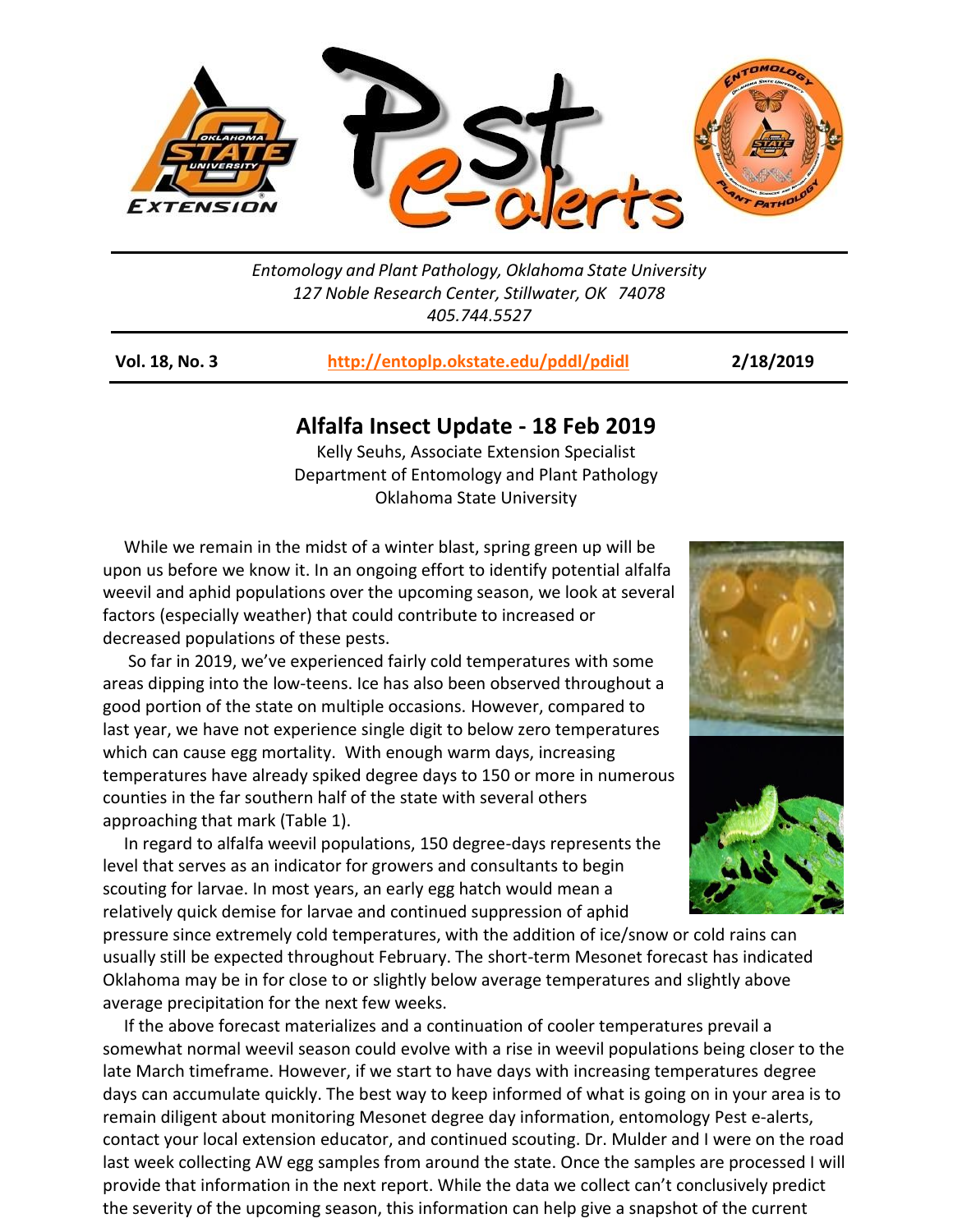

*Entomology and Plant Pathology, Oklahoma State University 127 Noble Research Center, Stillwater, OK 74078 405.744.5527*

**Vol. 18, No. 3 <http://entoplp.okstate.edu/pddl/pdidl> 2/18/2019**

## **Alfalfa Insect Update - 18 Feb 2019**

Kelly Seuhs, Associate Extension Specialist Department of Entomology and Plant Pathology Oklahoma State University

 While we remain in the midst of a winter blast, spring green up will be upon us before we know it. In an ongoing effort to identify potential alfalfa weevil and aphid populations over the upcoming season, we look at several factors (especially weather) that could contribute to increased or decreased populations of these pests.

 So far in 2019, we've experienced fairly cold temperatures with some areas dipping into the low-teens. Ice has also been observed throughout a good portion of the state on multiple occasions. However, compared to last year, we have not experience single digit to below zero temperatures which can cause egg mortality. With enough warm days, increasing temperatures have already spiked degree days to 150 or more in numerous counties in the far southern half of the state with several others approaching that mark (Table 1).

 In regard to alfalfa weevil populations, 150 degree-days represents the level that serves as an indicator for growers and consultants to begin scouting for larvae. In most years, an early egg hatch would mean a relatively quick demise for larvae and continued suppression of aphid

pressure since extremely cold temperatures, with the addition of ice/snow or cold rains can usually still be expected throughout February. The short-term Mesonet forecast has indicated Oklahoma may be in for close to or slightly below average temperatures and slightly above average precipitation for the next few weeks.

 If the above forecast materializes and a continuation of cooler temperatures prevail a somewhat normal weevil season could evolve with a rise in weevil populations being closer to the late March timeframe. However, if we start to have days with increasing temperatures degree days can accumulate quickly. The best way to keep informed of what is going on in your area is to remain diligent about monitoring Mesonet degree day information, entomology Pest e-alerts, contact your local extension educator, and continued scouting. Dr. Mulder and I were on the road last week collecting AW egg samples from around the state. Once the samples are processed I will provide that information in the next report. While the data we collect can't conclusively predict the severity of the upcoming season, this information can help give a snapshot of the current